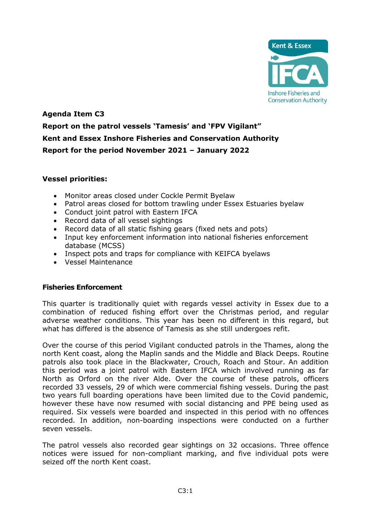

# **Agenda Item C3 Report on the patrol vessels 'Tamesis' and 'FPV Vigilant" Kent and Essex Inshore Fisheries and Conservation Authority Report for the period November 2021 – January 2022**

## **Vessel priorities:**

- Monitor areas closed under Cockle Permit Byelaw
- Patrol areas closed for bottom trawling under Essex Estuaries byelaw
- Conduct joint patrol with Eastern IFCA
- Record data of all vessel sightings
- Record data of all static fishing gears (fixed nets and pots)
- Input key enforcement information into national fisheries enforcement database (MCSS)
- Inspect pots and traps for compliance with KEIFCA byelaws
- Vessel Maintenance

## **Fisheries Enforcement**

This quarter is traditionally quiet with regards vessel activity in Essex due to a combination of reduced fishing effort over the Christmas period, and regular adverse weather conditions. This year has been no different in this regard, but what has differed is the absence of Tamesis as she still undergoes refit.

Over the course of this period Vigilant conducted patrols in the Thames, along the north Kent coast, along the Maplin sands and the Middle and Black Deeps. Routine patrols also took place in the Blackwater, Crouch, Roach and Stour. An addition this period was a joint patrol with Eastern IFCA which involved running as far North as Orford on the river Alde. Over the course of these patrols, officers recorded 33 vessels, 29 of which were commercial fishing vessels. During the past two years full boarding operations have been limited due to the Covid pandemic, however these have now resumed with social distancing and PPE being used as required. Six vessels were boarded and inspected in this period with no offences recorded. In addition, non-boarding inspections were conducted on a further seven vessels.

The patrol vessels also recorded gear sightings on 32 occasions. Three offence notices were issued for non-compliant marking, and five individual pots were seized off the north Kent coast.